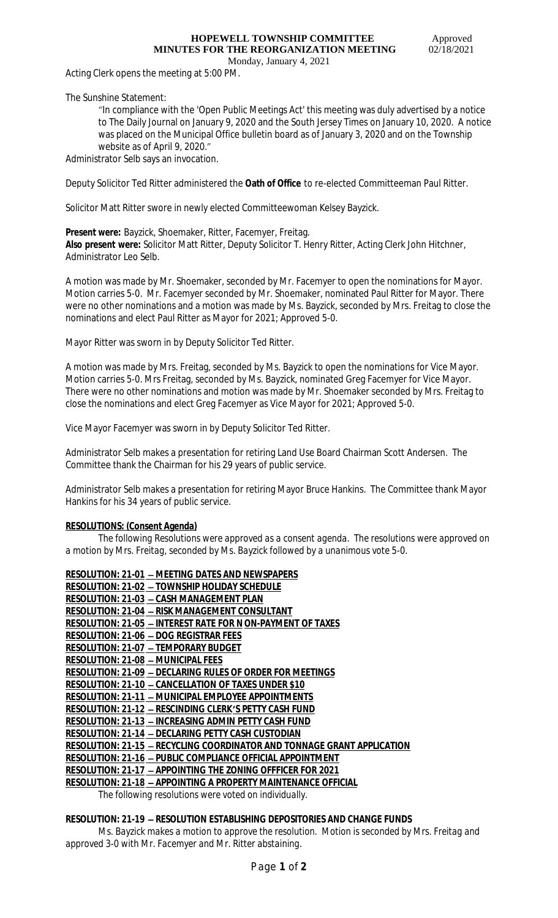# **HOPEWELL TOWNSHIP COMMITTEE** Approved  **MINUTES FOR THE REORGANIZATION MEETING** 02/18/2021

Monday, January 4, 2021

Acting Clerk opens the meeting at 5:00 PM.

The Sunshine Statement:

"In compliance with the 'Open Public Meetings Act' this meeting was duly advertised by a notice to The Daily Journal on January 9, 2020 and the South Jersey Times on January 10, 2020. A notice was placed on the Municipal Office bulletin board as of January 3, 2020 and on the Township website as of April 9, 2020."

Administrator Selb says an invocation.

Deputy Solicitor Ted Ritter administered the **Oath of Office** to re-elected Committeeman Paul Ritter.

Solicitor Matt Ritter swore in newly elected Committeewoman Kelsey Bayzick.

**Present were:** Bayzick, Shoemaker, Ritter, Facemyer, Freitag. **Also present were:** Solicitor Matt Ritter, Deputy Solicitor T. Henry Ritter, Acting Clerk John Hitchner, Administrator Leo Selb.

A motion was made by Mr. Shoemaker, seconded by Mr. Facemyer to open the nominations for Mayor. Motion carries 5-0. Mr. Facemyer seconded by Mr. Shoemaker, nominated Paul Ritter for Mayor. There were no other nominations and a motion was made by Ms. Bayzick, seconded by Mrs. Freitag to close the nominations and elect Paul Ritter as Mayor for 2021; Approved 5-0.

Mayor Ritter was sworn in by Deputy Solicitor Ted Ritter.

A motion was made by Mrs. Freitag, seconded by Ms. Bayzick to open the nominations for Vice Mayor. Motion carries 5-0. Mrs Freitag, seconded by Ms. Bayzick, nominated Greg Facemyer for Vice Mayor. There were no other nominations and motion was made by Mr. Shoemaker seconded by Mrs. Freitag to close the nominations and elect Greg Facemyer as Vice Mayor for 2021; Approved 5-0.

Vice Mayor Facemyer was sworn in by Deputy Solicitor Ted Ritter.

Administrator Selb makes a presentation for retiring Land Use Board Chairman Scott Andersen. The Committee thank the Chairman for his 29 years of public service.

Administrator Selb makes a presentation for retiring Mayor Bruce Hankins. The Committee thank Mayor Hankins for his 34 years of public service.

## **RESOLUTIONS: (Consent Agenda)**

*The following Resolutions were approved as a consent agenda. The resolutions were approved on a motion by Mrs. Freitag, seconded by Ms. Bayzick followed by a unanimous vote 5-0.*

| <b>RESOLUTION: 21-01 - MEETING DATES AND NEWSPAPERS</b>                 |
|-------------------------------------------------------------------------|
| RESOLUTION: 21-02 - TOWNSHIP HOLIDAY SCHEDULE                           |
| <b>RESOLUTION: 21-03 - CASH MANAGEMENT PLAN</b>                         |
| RESOLUTION: 21-04 - RISK MANAGEMENT CONSULTANT                          |
| <b>RESOLUTION: 21-05 - INTEREST RATE FOR N ON-PAYMENT OF TAXES</b>      |
| <b>RESOLUTION: 21-06 - DOG REGISTRAR FEES</b>                           |
| <b>RESOLUTION: 21-07 - TEMPORARY BUDGET</b>                             |
| <b>RESOLUTION: 21-08 - MUNICIPAL FEES</b>                               |
| <b>RESOLUTION: 21-09 - DECLARING RULES OF ORDER FOR MEETINGS</b>        |
| <b>RESOLUTION: 21-10 - CANCELLATION OF TAXES UNDER \$10</b>             |
| <b>RESOLUTION: 21-11 - MUNICIPAL EMPLOYEE APPOINTMENTS</b>              |
| <b>RESOLUTION: 21-12 - RESCINDING CLERK'S PETTY CASH FUND</b>           |
| <b>RESOLUTION: 21-13 - INCREASING ADMIN PETTY CASH FUND</b>             |
| RESOLUTION: 21-14 - DECLARING PETTY CASH CUSTODIAN                      |
| RESOLUTION: 21-15 - RECYCLING COORDINATOR AND TONNAGE GRANT APPLICATION |
| RESOLUTION: 21-16 - PUBLIC COMPLIANCE OFFICIAL APPOINTMENT              |
| <b>RESOLUTION: 21-17 - APPOINTING THE ZONING OFFFICER FOR 2021</b>      |
| <b>RESOLUTION: 21-18 - APPOINTING A PROPERTY MAINTENANCE OFFICIAL</b>   |
| $\overline{\phantom{a}}$                                                |

*The following resolutions were voted on individually.*

#### **RESOLUTION: 21-19** – **RESOLUTION ESTABLISHING DEPOSITORIES AND CHANGE FUNDS**

*Ms. Bayzick makes a motion to approve the resolution. Motion is seconded by Mrs. Freitag and approved 3-0 with Mr. Facemyer and Mr. Ritter abstaining.*